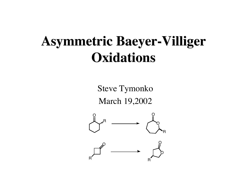# **Asymmetric Baeyer-Villiger Oxidations**

Steve Tymonko March 19,2002

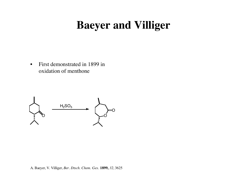## **Baeyer and Villiger**

• First demonstrated in 1899 in oxidation of menthone

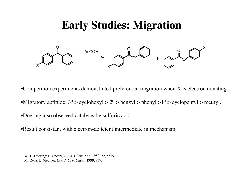#### **Early Studies: Migration**



•Competition experiments demonstrated preferential migration when X is electron donating.

•Migratory aptitude:  $3^0$  > cyclohexyl >  $2^0$  > benzyl > phenyl >  $1^0$  > cyclopentyl > methyl.

•Doering also observed catalysis by sulfuric acid.

•Result consistant with electron-deficient intermediate in mechanism.

W. E. Doering; L. Speers, *J. Am. Chem. Soc.* **1950**, *72*, 5515. M. Renz; B Meunier, *Eur. J. Org. Chem.* **1999**, 737.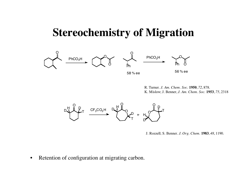#### **Stereochemistry of Migration**





R. Turner. *J. Am. Chem. Soc.* **1950**, *72*, 878. K. Mislow; J. Benner, *J. Am. Chem. Soc.* **1953**, *75*, 2318



J. Rozzell; S. Benner. *J. Org. Chem.* **1983**, *48*, 1190.

• Retention of configuration at migrating carbon.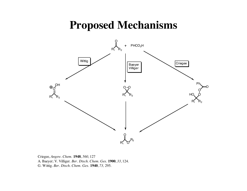#### **Proposed Mechanisms**



Criegee, *Angew. Chem.* **1948**, *560*, 127 A. Baeyer; V. Villiger. *Ber. Dtsch. Chem. Ges.* **1900**, *33*, 124. G. Wittig. *Ber. Dtsch. Chem. Ges.* **1940**, *73,* 295.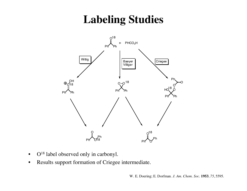# **Labeling Studies**



- O<sup>18</sup> label observed only in carbonyl.
- Results support formation of Criegee intermediate.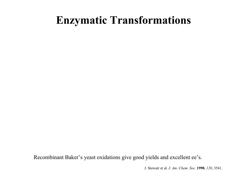## **Enzymatic Transformations**

Recombinant Baker's yeast oxidations give good yields and excellent ee's.

J. Stewart et al. *J. Am. Chem. Soc.* **1998.** *120*, 3541.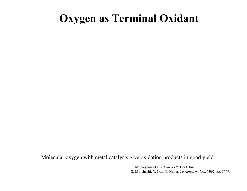## **Oxygen as Terminal Oxidant**

Molecular oxygen with metal catalysts give oxidation products in good yield.

T. Mukaiyama et al. *Chem. Lett.* **1991.** 641. S. Murahashi; Y. Oda; T. Naota. *Tetrahedron Lett.* **1992.** *33*, 7557.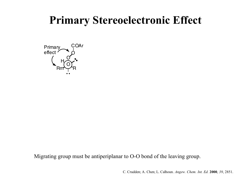## **Primary Stereoelectronic Effect**



Migrating group must be antiperiplanar to O-O bond of the leaving group.

C. Crudden; A. Chen; L. Calhoun. *Angew. Chem. Int. Ed.* **2000**, *39*, 2851.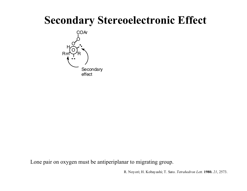## **Secondary Stereoelectronic Effect**



Lone pair on oxygen must be antiperiplanar to migrating group.

R. Noyori; H. Kobayashi; T. Sato. *Tetrahedron Lett.* **1980.** *21*, 2573.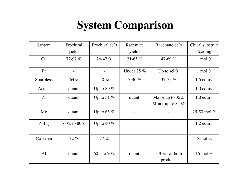# **System Comparison**

| System            | Prochiral<br>yields | Prochiral ee's   | Racemate<br>yields | Racemate ee's                         | Chiral substrate<br>loading |
|-------------------|---------------------|------------------|--------------------|---------------------------------------|-----------------------------|
| Cu                | 77-92 %             | 26-47 %          | $21 - 65%$         | 47-69 $%$                             | 1 mol $%$                   |
| Pt                |                     |                  | Under $25\%$       | Up to 45 $%$                          | 1 mol $%$                   |
| <b>Sharpless</b>  | 64%                 | 40 $%$           | 7-40 $%$           | $37 - 75\%$                           | $1.5$ equiv.                |
| Acetal            | quant.              | Up to 89 $%$     |                    |                                       | $1.0$ equiv.                |
| Zr                | quant.              | Up to 31 $%$     | quant.             | Major up to 35%<br>Minor up to 84 $%$ | $1.0$ equiv.                |
| Mg                | quant.              | Up to 65 $%$     |                    |                                       | 25-50 mol %                 |
| ZnEt <sub>2</sub> | $60's$ to $80's$    | Up to 40 $%$     |                    |                                       | $1.2$ equiv.                |
| Co-salen          | 72 %                | $77\%$           |                    |                                       | 5 mol $%$                   |
| A <sub>1</sub>    | quant.              | $60's$ to $70's$ | quant.             | $\sim$ 70% for both<br>products       | 15 mol $%$                  |